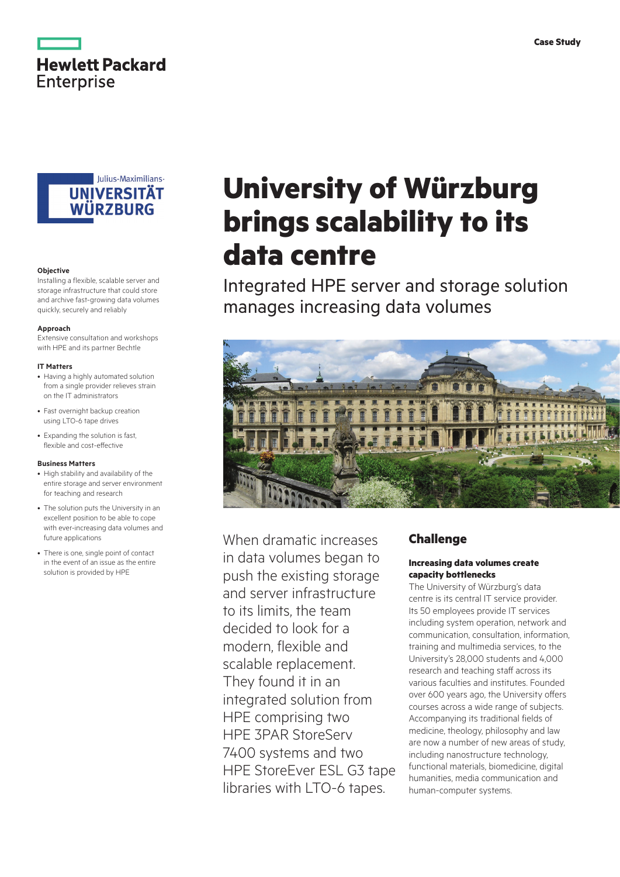



#### **Objective**

Installing a flexible, scalable server and storage infrastructure that could store and archive fast-growing data volumes quickly, securely and reliably

#### **Approach**

Extensive consultation and workshops with HPE and its partner Bechtle

#### **IT Matters**

- Having a highly automated solution from a single provider relieves strain on the IT administrators
- Fast overnight backup creation using LTO-6 tape drives
- Expanding the solution is fast, flexible and cost-effective

#### **Business Matters**

- High stability and availability of the entire storage and server environment for teaching and research
- The solution puts the University in an excellent position to be able to cope with ever-increasing data volumes and future applications
- There is one, single point of contact in the event of an issue as the entire solution is provided by HPE

# **University of Würzburg brings scalability to its data centre**

Integrated HPE server and storage solution manages increasing data volumes



When dramatic increases in data volumes began to push the existing storage and server infrastructure to its limits, the team decided to look for a modern, flexible and scalable replacement. They found it in an integrated solution from HPE comprising two HPE 3PAR StoreServ 7400 systems and two HPE StoreEver ESL G3 tape libraries with LTO-6 tapes.

# **Challenge**

# **Increasing data volumes create capacity bottlenecks**

The University of Würzburg's data centre is its central IT service provider. Its 50 employees provide IT services including system operation, network and communication, consultation, information, training and multimedia services, to the University's 28,000 students and 4,000 research and teaching staff across its various faculties and institutes. Founded over 600 years ago, the University offers courses across a wide range of subjects. Accompanying its traditional fields of medicine, theology, philosophy and law are now a number of new areas of study, including nanostructure technology, functional materials, biomedicine, digital humanities, media communication and human-computer systems.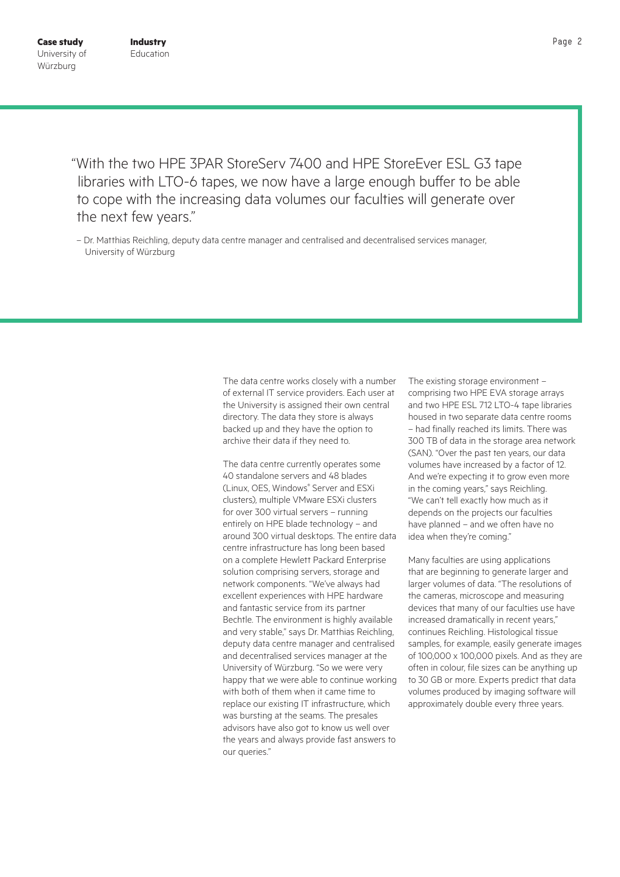"With the two HPE 3PAR StoreServ 7400 and HPE StoreEver ESL G3 tape libraries with LTO-6 tapes, we now have a large enough buffer to be able to cope with the increasing data volumes our faculties will generate over the next few years."

– Dr. Matthias Reichling, deputy data centre manager and centralised and decentralised services manager, University of Würzburg

> The data centre works closely with a number of external IT service providers. Each user at the University is assigned their own central directory. The data they store is always backed up and they have the option to archive their data if they need to.

> The data centre currently operates some 40 standalone servers and 48 blades (Linux, OES, Windows® Server and ESXi clusters), multiple VMware ESXi clusters for over 300 virtual servers – running entirely on HPE blade technology – and around 300 virtual desktops. The entire data centre infrastructure has long been based on a complete Hewlett Packard Enterprise solution comprising servers, storage and network components. "We've always had excellent experiences with HPE hardware and fantastic service from its partner Bechtle. The environment is highly available and very stable," says Dr. Matthias Reichling, deputy data centre manager and centralised and decentralised services manager at the University of Würzburg. "So we were very happy that we were able to continue working with both of them when it came time to replace our existing IT infrastructure, which was bursting at the seams. The presales advisors have also got to know us well over the years and always provide fast answers to our queries."

The existing storage environment – comprising two HPE EVA storage arrays and two HPE ESL 712 LTO-4 tape libraries housed in two separate data centre rooms – had finally reached its limits. There was 300 TB of data in the storage area network (SAN). "Over the past ten years, our data volumes have increased by a factor of 12. And we're expecting it to grow even more in the coming years," says Reichling. "We can't tell exactly how much as it depends on the projects our faculties have planned – and we often have no idea when they're coming."

Many faculties are using applications that are beginning to generate larger and larger volumes of data. "The resolutions of the cameras, microscope and measuring devices that many of our faculties use have increased dramatically in recent years," continues Reichling. Histological tissue samples, for example, easily generate images of 100,000 x 100,000 pixels. And as they are often in colour, file sizes can be anything up to 30 GB or more. Experts predict that data volumes produced by imaging software will approximately double every three years.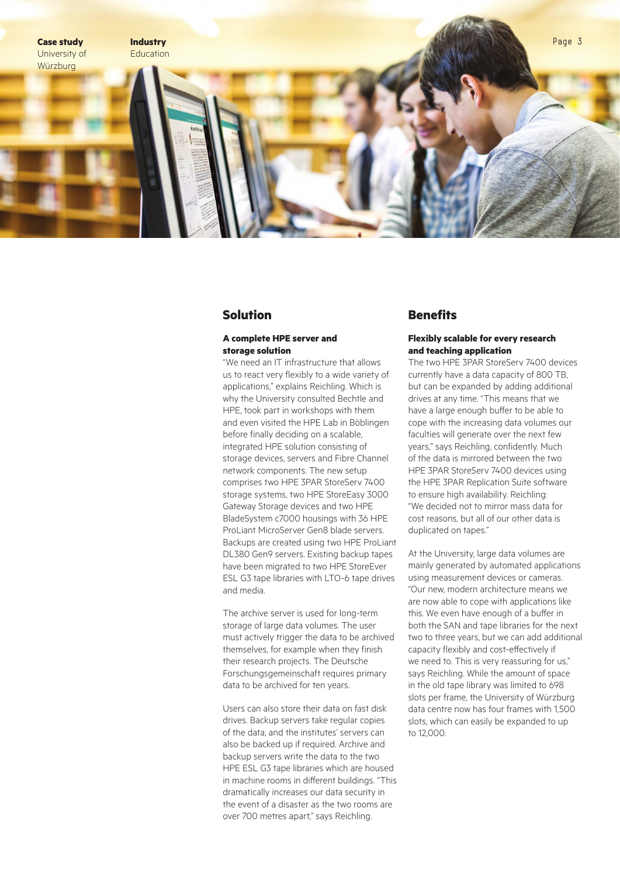

# **Solution**

## **A complete HPE server and storage solution**

"We need an IT infrastructure that allows us to react very flexibly to a wide variety of applications," explains Reichling. Which is why the University consulted Bechtle and HPE, took part in workshops with them and even visited the HPE Lab in Böblingen before finally deciding on a scalable, integrated HPE solution consisting of storage devices, servers and Fibre Channel network components. The new setup comprises two HPE 3PAR StoreServ 7400 storage systems, two HPE StoreEasy 3000 Gateway Storage devices and two HPE BladeSystem c7000 housings with 36 HPE ProLiant MicroServer Gen8 blade servers. Backups are created using two HPE ProLiant DL380 Gen9 servers. Existing backup tapes have been migrated to two HPE StoreEver ESL G3 tape libraries with LTO-6 tape drives and media.

The archive server is used for long-term storage of large data volumes. The user must actively trigger the data to be archived themselves, for example when they finish their research projects. The Deutsche Forschungsgemeinschaft requires primary data to be archived for ten years.

Users can also store their data on fast disk drives. Backup servers take regular copies of the data, and the institutes' servers can also be backed up if required. Archive and backup servers write the data to the two HPE ESL G3 tape libraries which are housed in machine rooms in different buildings. "This dramatically increases our data security in the event of a disaster as the two rooms are over 700 metres apart," says Reichling.

# **Benefits**

## **Flexibly scalable for every research and teaching application**

The two HPE 3PAR StoreServ 7400 devices currently have a data capacity of 800 TB, but can be expanded by adding additional drives at any time. "This means that we have a large enough buffer to be able to cope with the increasing data volumes our faculties will generate over the next few years," says Reichling, confidently. Much of the data is mirrored between the two HPE 3PAR StoreServ 7400 devices using the HPE 3PAR Replication Suite software to ensure high availability. Reichling: "We decided not to mirror mass data for cost reasons, but all of our other data is duplicated on tapes."

At the University, large data volumes are mainly generated by automated applications using measurement devices or cameras. "Our new, modern architecture means we are now able to cope with applications like this. We even have enough of a buffer in both the SAN and tape libraries for the next two to three years, but we can add additional capacity flexibly and cost-effectively if we need to. This is very reassuring for us," says Reichling. While the amount of space in the old tape library was limited to 698 slots per frame, the University of Würzburg data centre now has four frames with 1,500 slots, which can easily be expanded to up to 12,000.